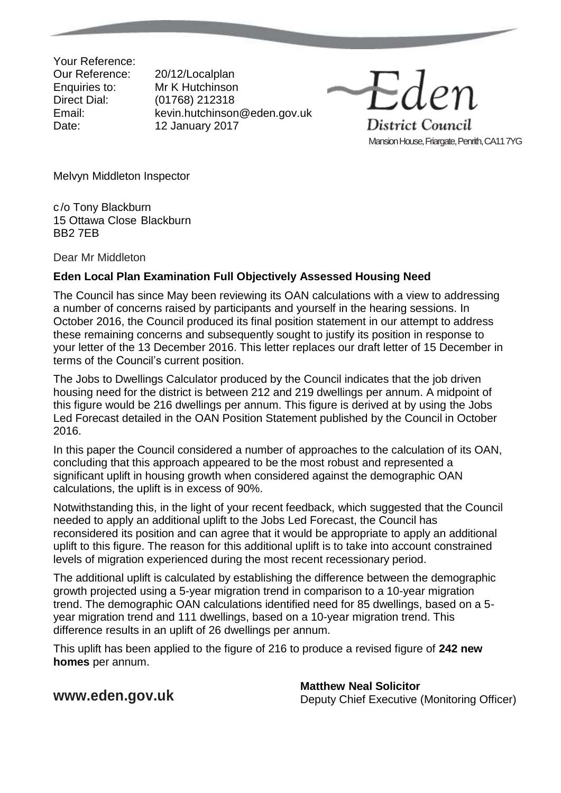Your Reference: Our Reference: 20/12/Localplan

Enquiries to: Mr K Hutchinson<br>Direct Dial: (01768) 212318 (01768) 212318 Email: kevin.hutchinson@eden.gov.uk Date: 12 January 2017

District Council Mansion House, Friargate, Penrith, CA11 7YG

Melvyn Middleton Inspector

c /o Tony Blackburn 15 Ottawa Close Blackburn BB2 7EB

Dear Mr Middleton

## **Eden Local Plan Examination Full Objectively Assessed Housing Need**

The Council has since May been reviewing its OAN calculations with a view to addressing a number of concerns raised by participants and yourself in the hearing sessions. In October 2016, the Council produced its final position statement in our attempt to address these remaining concerns and subsequently sought to justify its position in response to your letter of the 13 December 2016. This letter replaces our draft letter of 15 December in terms of the Council's current position.

The Jobs to Dwellings Calculator produced by the Council indicates that the job driven housing need for the district is between 212 and 219 dwellings per annum. A midpoint of this figure would be 216 dwellings per annum. This figure is derived at by using the Jobs Led Forecast detailed in the OAN Position Statement published by the Council in October 2016.

In this paper the Council considered a number of approaches to the calculation of its OAN, concluding that this approach appeared to be the most robust and represented a significant uplift in housing growth when considered against the demographic OAN calculations, the uplift is in excess of 90%.

Notwithstanding this, in the light of your recent feedback, which suggested that the Council needed to apply an additional uplift to the Jobs Led Forecast, the Council has reconsidered its position and can agree that it would be appropriate to apply an additional uplift to this figure. The reason for this additional uplift is to take into account constrained levels of migration experienced during the most recent recessionary period.

The additional uplift is calculated by establishing the difference between the demographic growth projected using a 5-year migration trend in comparison to a 10-year migration trend. The demographic OAN calculations identified need for 85 dwellings, based on a 5 year migration trend and 111 dwellings, based on a 10-year migration trend. This difference results in an uplift of 26 dwellings per annum.

This uplift has been applied to the figure of 216 to produce a revised figure of **242 new homes** per annum.

**[www.eden.gov.uk](http://www.eden.gov.uk/) Matthew Neal Solicitor**<br> **Matthew Neal Solicitor** Deputy Chief Executive (Monitoring Officer)